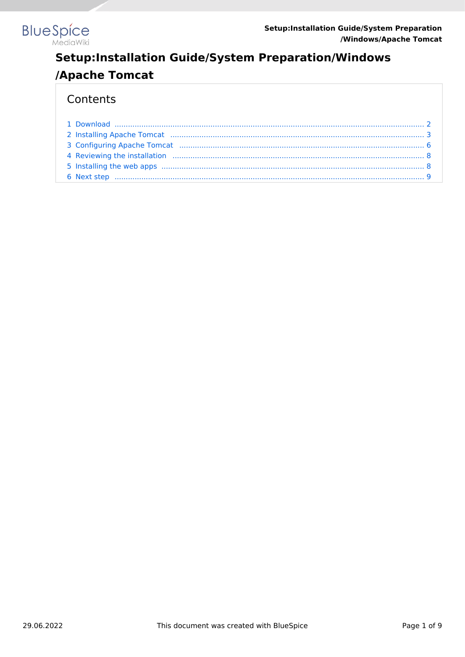

## Contents

| 5 Installing the web apps (1) 1996 (1) 1997 (1) 1998 (1) 1998 (1) 1998 (1) 1998 (1) 1998 (1) 1998 (1) 1998 (1) 1998 (1) 1998 (1) 1999 (1) 1999 (1) 1999 (1) 1999 (1) 1999 (1) 1999 (1) 1999 (1) 1999 (1) 1999 (1) 1999 (1) 199 |  |
|--------------------------------------------------------------------------------------------------------------------------------------------------------------------------------------------------------------------------------|--|
|                                                                                                                                                                                                                                |  |
|                                                                                                                                                                                                                                |  |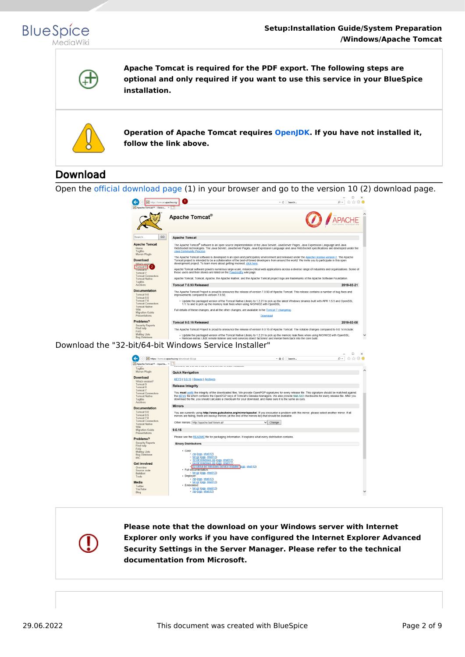



**Apache Tomcat is required for the PDF export. The following steps are optional and only required if you want to use this service in your BlueSpice installation.**



**Operation of Apache Tomcat requires [OpenJDK.](https://en.wiki.bluespice.com/wiki/Setup:Installation_Guide/System_Preparation/Windows/OpenJDK) If you have not installed it, follow the link above.**

# <span id="page-1-0"></span>Download

Open the [official download page](http://tomcat.apache.org/) (1) in your browser and go to the version 10 (2) download page.



Download the "32-bit/64-bit Windows Service Installer"

|                                                                                     | 企 众 徽 ●<br>https://tomcat.apache.org/download-90.cqi<br>$\Omega$ +<br>$-AC$<br>Search                                                                                                                                                                                                                                                                                                                                   |  |
|-------------------------------------------------------------------------------------|-------------------------------------------------------------------------------------------------------------------------------------------------------------------------------------------------------------------------------------------------------------------------------------------------------------------------------------------------------------------------------------------------------------------------|--|
| Apache Tomcat® - Apache X<br>Taglibs                                                |                                                                                                                                                                                                                                                                                                                                                                                                                         |  |
| Mayen Plugin                                                                        | <b>Quick Navigation</b>                                                                                                                                                                                                                                                                                                                                                                                                 |  |
| <b>Download</b><br>Which version?<br>Tomcat 9                                       | KEYS   9.0.16   Browse   Archives                                                                                                                                                                                                                                                                                                                                                                                       |  |
| Tomcat 8                                                                            | <b>Release Integrity</b>                                                                                                                                                                                                                                                                                                                                                                                                |  |
| Tomcat 7<br><b>Tomcat Connectors</b><br><b>Tomcat Native</b><br>Taglibs<br>Archives | You must verify the integrity of the downloaded files. We provide OpenPGP signatures for every release file. This signature should be matched against<br>the KEYS file which contains the OpenPGP keys of Tomcat's Release Managers. We also provide SHA-512 checksums for every release file. After you<br>download the file, you should calculate a checksum for your download, and make sure it is the same as ours. |  |
| <b>Ocumentation</b>                                                                 | <b>Mirrors</b>                                                                                                                                                                                                                                                                                                                                                                                                          |  |
| Tomcat 9.0<br>Tomcat 8.5<br>Tomcat 7.0                                              | You are currently using http://www.gutscheine.org/mirror/apache/. If you encounter a problem with this mirror, please select another mirror. If all<br>mirrors are failing, there are backup mirrors (at the end of the mirrors list) that should be available.                                                                                                                                                         |  |
| <b>Tomcat Connectors</b><br><b>Tomcat Native</b><br>Wiki                            | Other mirrors: http://apache.lauf-forum.at/<br>Change<br>$\check{ }$                                                                                                                                                                                                                                                                                                                                                    |  |
| Migration Guide<br>Presentations                                                    | 9.0.16                                                                                                                                                                                                                                                                                                                                                                                                                  |  |
| roblems?                                                                            | Please see the README file for packaging information. It explains what every distribution contains.                                                                                                                                                                                                                                                                                                                     |  |
| <b>Security Reports</b><br>Find help                                                | <b>Binary Distributions</b>                                                                                                                                                                                                                                                                                                                                                                                             |  |
| <b>FAQ</b><br><b>Mailing Lists</b><br><b>Bug Database</b><br><b>IRC</b>             | $-$ Core:<br>· zip (pgp, sha512)<br>$\cdot$ tar.gz (pgp, sha512)<br>- 32-bit Windows zip (pgp, sha512)                                                                                                                                                                                                                                                                                                                  |  |
| <b>Set Involved</b><br>Overview<br>Source code                                      | . 64-bit Windows zip (pgp, sha512)<br>32-bit/64-bit Windows Service Installer rogp, sha512)<br>· Full documentation:                                                                                                                                                                                                                                                                                                    |  |
| Buildbot<br>Tools                                                                   | $\cdot$ tar.gz (pgp, sha512)<br>- Deplover:<br>· zip (pgp, sha512)                                                                                                                                                                                                                                                                                                                                                      |  |
| <b>Aedia</b>                                                                        | $\tan qz$ (pqp, sha512)                                                                                                                                                                                                                                                                                                                                                                                                 |  |
| Twitter<br>YouTube<br>Blog                                                          | · Embedded:<br>• tar.gz (pgp, sha512)<br>$-$ zip (pqp, sha512)                                                                                                                                                                                                                                                                                                                                                          |  |

**Please note that the download on your Windows server with Internet Explorer only works if you have configured the Internet Explorer Advanced Security Settings in the Server Manager. Please refer to the technical documentation from Microsoft.**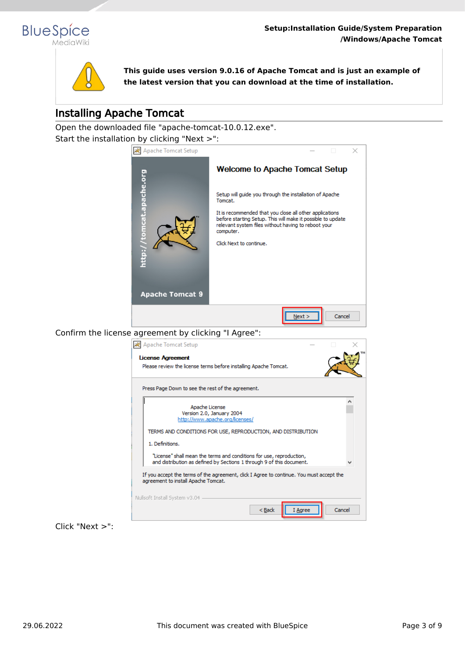



**This guide uses version 9.0.16 of Apache Tomcat and is just an example of the latest version that you can download at the time of installation.**

# <span id="page-2-0"></span>Installing Apache Tomcat

Open the downloaded file "apache-tomcat-10.0.12.exe". Start the installation by clicking "Next >":

![](_page_2_Picture_6.jpeg)

![](_page_2_Picture_7.jpeg)

Click "Next >":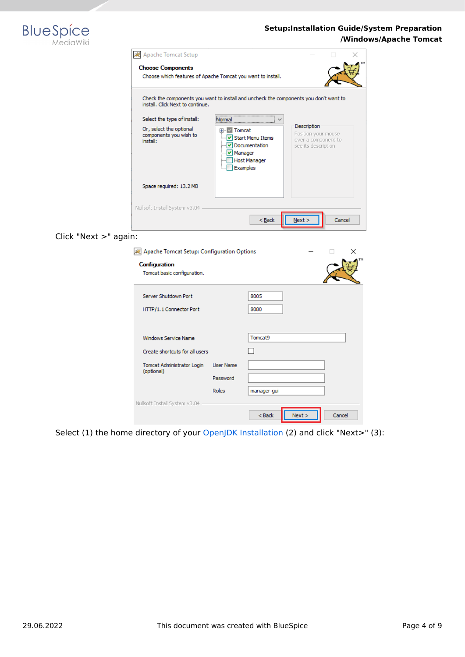![](_page_3_Picture_0.jpeg)

| Apache Tomcat Setup                                           |                                                                                             |                                                                                   |        |  |
|---------------------------------------------------------------|---------------------------------------------------------------------------------------------|-----------------------------------------------------------------------------------|--------|--|
| <b>Choose Components</b>                                      | Choose which features of Apache Tomcat you want to install.                                 |                                                                                   |        |  |
| install. Click Next to continue.                              | Check the components you want to install and uncheck the components you don't want to       |                                                                                   |        |  |
| Select the type of install:                                   |                                                                                             |                                                                                   |        |  |
| Or, select the optional<br>components you wish to<br>install: | Tomcat<br>√ Start Menu Items<br>Documentation<br>Manager<br><b>Host Manager</b><br>Examples | Description<br>Position your mouse<br>over a component to<br>see its description. |        |  |
| Space required: 13.2 MB                                       |                                                                                             |                                                                                   |        |  |
| Nullsoft Install System v3.04                                 | $<$ Back                                                                                    | Next >                                                                            | Cancel |  |

## Click "Next >" again:

| AZ Apache Tomcat Setup: Configuration Options   |                                       |              |      |        | × |
|-------------------------------------------------|---------------------------------------|--------------|------|--------|---|
| Configuration<br>Tomcat basic configuration.    |                                       |              |      |        |   |
| Server Shutdown Port<br>HTTP/1.1 Connector Port |                                       | 8005<br>8080 |      |        |   |
| Windows Service Name                            |                                       | Tomcat9      |      |        |   |
| Create shortcuts for all users                  |                                       |              |      |        |   |
| Tomcat Administrator Login<br>(optional)        | <b>User Name</b><br>Password<br>Roles | manager-gui  |      |        |   |
| Nullsoft Install System v3.04                   |                                       | $Back$       | Next | Cancel |   |

Select (1) the home directory of your [OpenJDK Installation](https://en.wiki.bluespice.com/wiki/Setup:Installation_Guide/System_Preparation/Windows/OpenJDK) (2) and click "Next>" (3):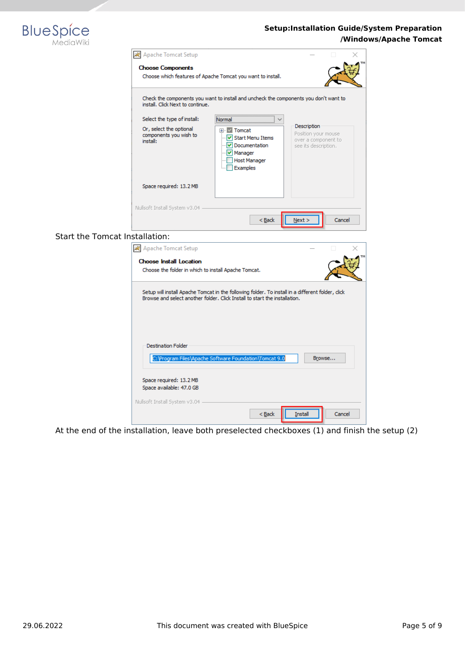![](_page_4_Picture_0.jpeg)

|                                       | <b>/vivel</b> Apache Tomcat Setup                             |                                                                                                                                                                                 |                                                                                   |  |
|---------------------------------------|---------------------------------------------------------------|---------------------------------------------------------------------------------------------------------------------------------------------------------------------------------|-----------------------------------------------------------------------------------|--|
|                                       | <b>Choose Components</b>                                      |                                                                                                                                                                                 |                                                                                   |  |
|                                       |                                                               | Choose which features of Apache Tomcat you want to install.                                                                                                                     |                                                                                   |  |
|                                       |                                                               |                                                                                                                                                                                 |                                                                                   |  |
|                                       | install. Click Next to continue.                              | Check the components you want to install and uncheck the components you don't want to                                                                                           |                                                                                   |  |
|                                       | Select the type of install:                                   | Normal                                                                                                                                                                          |                                                                                   |  |
|                                       | Or, select the optional<br>components you wish to<br>install: | ⊞ √ Tomcat<br>- V Start Menu Items<br>v Documentation<br>✔ Manager<br>Host Manager<br>Examples                                                                                  | Description<br>Position your mouse<br>over a component to<br>see its description. |  |
|                                       | Space required: 13.2 MB                                       |                                                                                                                                                                                 |                                                                                   |  |
|                                       |                                                               |                                                                                                                                                                                 |                                                                                   |  |
|                                       |                                                               |                                                                                                                                                                                 |                                                                                   |  |
|                                       | Nullsoft Install System v3.04 -                               |                                                                                                                                                                                 |                                                                                   |  |
|                                       |                                                               | $<$ Back                                                                                                                                                                        | Next<br>Cancel                                                                    |  |
| <b>Start the Tomcat Installation:</b> |                                                               |                                                                                                                                                                                 |                                                                                   |  |
|                                       |                                                               |                                                                                                                                                                                 |                                                                                   |  |
|                                       | Apache Tomcat Setup                                           |                                                                                                                                                                                 |                                                                                   |  |
|                                       | <b>Choose Install Location</b>                                |                                                                                                                                                                                 |                                                                                   |  |
|                                       | Choose the folder in which to install Apache Tomcat.          |                                                                                                                                                                                 |                                                                                   |  |
|                                       |                                                               |                                                                                                                                                                                 |                                                                                   |  |
|                                       |                                                               | Setup will install Apache Tomcat in the following folder. To install in a different folder, click<br>Browse and select another folder. Click Install to start the installation. |                                                                                   |  |
|                                       |                                                               |                                                                                                                                                                                 |                                                                                   |  |
|                                       | <b>Destination Folder</b>                                     |                                                                                                                                                                                 |                                                                                   |  |
|                                       |                                                               | C: \Program Files\Apache Software Foundation\Tomcat 9.0                                                                                                                         | Browse                                                                            |  |
|                                       |                                                               |                                                                                                                                                                                 |                                                                                   |  |
|                                       | Space required: 13.2 MB<br>Space available: 47.0 GB           |                                                                                                                                                                                 |                                                                                   |  |
|                                       |                                                               |                                                                                                                                                                                 |                                                                                   |  |
|                                       | Nullsoft Install System v3.04                                 | $Back$                                                                                                                                                                          | Cancel<br>Install                                                                 |  |
|                                       |                                                               |                                                                                                                                                                                 |                                                                                   |  |

At the end of the installation, leave both preselected checkboxes (1) and finish the setup (2)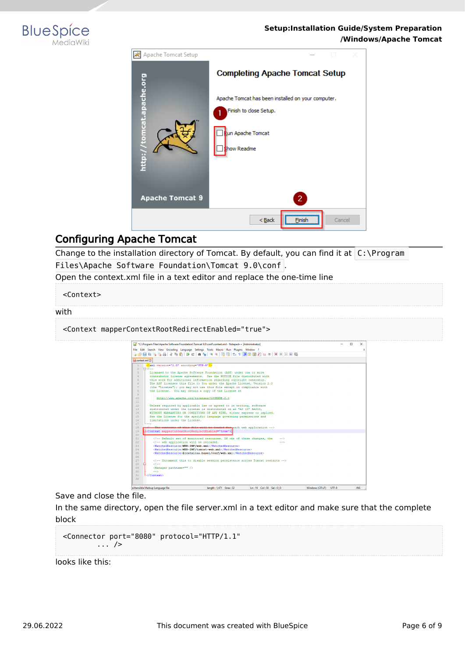![](_page_5_Picture_0.jpeg)

![](_page_5_Picture_2.jpeg)

# <span id="page-5-0"></span>Configuring Apache Tomcat

Change to the installation directory of Tomcat. By default, you can find it at  $C:\PP$ rogram Files\Apache Software Foundation\Tomcat 9.0\conf .

Open the context.xml file in a text editor and replace the one-time line

<Context>

#### with

<Context mapperContextRootRedirectEnabled="true">

| *C:\Program Files\Apache Software Foundation\Tomcat 9.0\conf\context.xml - Notepad++ [Administrator]                                                                                                                                                                                                                                                                                                                                                                                                                                                                                                                                                            | п | $\times$ |
|-----------------------------------------------------------------------------------------------------------------------------------------------------------------------------------------------------------------------------------------------------------------------------------------------------------------------------------------------------------------------------------------------------------------------------------------------------------------------------------------------------------------------------------------------------------------------------------------------------------------------------------------------------------------|---|----------|
| File Edit Search View Encoding Language Settings Tools Macro Run Plugins Window ?                                                                                                                                                                                                                                                                                                                                                                                                                                                                                                                                                                               |   |          |
|                                                                                                                                                                                                                                                                                                                                                                                                                                                                                                                                                                                                                                                                 |   |          |
|                                                                                                                                                                                                                                                                                                                                                                                                                                                                                                                                                                                                                                                                 |   |          |
| El context.xml E3                                                                                                                                                                                                                                                                                                                                                                                                                                                                                                                                                                                                                                               |   |          |
| xml version="1.0" encoding="UTF-8"?                                                                                                                                                                                                                                                                                                                                                                                                                                                                                                                                                                                                                             |   |          |
| <b>Ekt--</b>                                                                                                                                                                                                                                                                                                                                                                                                                                                                                                                                                                                                                                                    |   |          |
| $\mathcal{R}$<br>Licensed to the Apache Software Foundation (ASF) under one or more                                                                                                                                                                                                                                                                                                                                                                                                                                                                                                                                                                             |   |          |
| contributor license agreements. See the NOTICE file distributed with<br>$\overline{a}$                                                                                                                                                                                                                                                                                                                                                                                                                                                                                                                                                                          |   |          |
| this work for additional information regarding convright ownership.<br>ĸ,                                                                                                                                                                                                                                                                                                                                                                                                                                                                                                                                                                                       |   |          |
| The ASF licenses this file to You under the Apache License. Version 2.0<br>6                                                                                                                                                                                                                                                                                                                                                                                                                                                                                                                                                                                    |   |          |
| $\overline{7}$<br>(the "License"); you may not use this file except in compliance with                                                                                                                                                                                                                                                                                                                                                                                                                                                                                                                                                                          |   |          |
| the License. You may obtain a copy of the License at<br>$\mathsf{R}$                                                                                                                                                                                                                                                                                                                                                                                                                                                                                                                                                                                            |   |          |
| $\mathbf{Q}$                                                                                                                                                                                                                                                                                                                                                                                                                                                                                                                                                                                                                                                    |   |          |
| 10<br>http://www.apache.org/licenses/LICENSE-2.0                                                                                                                                                                                                                                                                                                                                                                                                                                                                                                                                                                                                                |   |          |
| 11                                                                                                                                                                                                                                                                                                                                                                                                                                                                                                                                                                                                                                                              |   |          |
| 12<br>Unless required by applicable law or agreed to in writing, software                                                                                                                                                                                                                                                                                                                                                                                                                                                                                                                                                                                       |   |          |
| distributed under the License is distributed on an "AS IS" BASIS.<br>13                                                                                                                                                                                                                                                                                                                                                                                                                                                                                                                                                                                         |   |          |
| 14<br>WITHOUT WARRANTIES OR CONDITIONS OF ANY KIND, either express or implied.                                                                                                                                                                                                                                                                                                                                                                                                                                                                                                                                                                                  |   |          |
| 15<br>See the License for the specific language governing permissions and                                                                                                                                                                                                                                                                                                                                                                                                                                                                                                                                                                                       |   |          |
| limitations under the License.<br>16                                                                                                                                                                                                                                                                                                                                                                                                                                                                                                                                                                                                                            |   |          |
| 17                                                                                                                                                                                                                                                                                                                                                                                                                                                                                                                                                                                                                                                              |   |          |
| 18<br>The contents of this file will be loaded for each web application -->                                                                                                                                                                                                                                                                                                                                                                                                                                                                                                                                                                                     |   |          |
| Econtext mapperContextRootRedirectEnabled="true"><br>19                                                                                                                                                                                                                                                                                                                                                                                                                                                                                                                                                                                                         |   |          |
| 20                                                                                                                                                                                                                                                                                                                                                                                                                                                                                                                                                                                                                                                              |   |          |
| 21<br>Default set of monitored resources. If one of these changes, the<br><math>--</math></td><td></td><td></td></tr><tr><td>22<br><!-- web application will be reloaded.<br><math>-5</math></td><td></td><td></td></tr><tr><td><WatchedResource>WEB-INF/web.xml</WatchedResource><br>23</td><td></td><td></td></tr><tr><td><WatchedResource>WEB-INF/tomcat-web.xml</WatchedResource><br>24</td><td></td><td></td></tr><tr><td>25<br><WatchedResource>\${catalina.base}/conf/web.xml</WatchedResource></td><td></td><td></td></tr><tr><td>26</td><td></td><td></td></tr><tr><td>27<br><!-- Uncomment this to disable session persistence across Tomcat restarts |   |          |
| 28<br>$2 + 1 = 1$                                                                                                                                                                                                                                                                                                                                                                                                                                                                                                                                                                                                                                               |   |          |
| 29<br><manager pathname=""></manager>                                                                                                                                                                                                                                                                                                                                                                                                                                                                                                                                                                                                                           |   |          |
| 30<br>$--$                                                                                                                                                                                                                                                                                                                                                                                                                                                                                                                                                                                                                                                      |   |          |
| 31<br>                                                                                                                                                                                                                                                                                                                                                                                                                                                                                                                                                                                                                                                          |   |          |
| 32                                                                                                                                                                                                                                                                                                                                                                                                                                                                                                                                                                                                                                                              |   |          |

Save and close the file.

In the same directory, open the file server.xml in a text editor and make sure that the complete block

```
<Connector port="8080" protocol="HTTP/1.1"
... />
```
looks like this: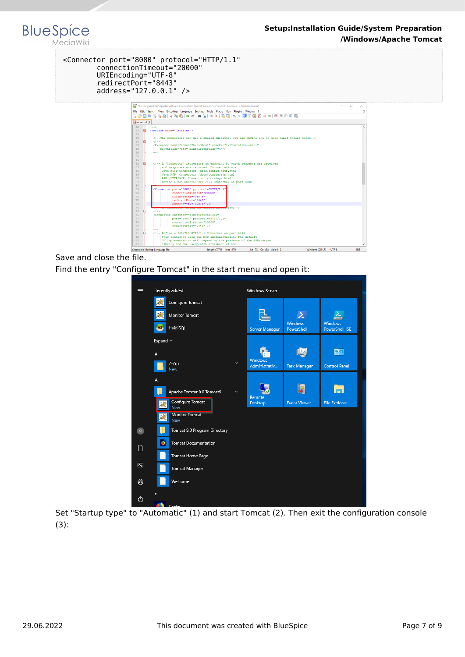#### <Connector port="8080" protocol="HTTP/1.1" connectionTimeout="20000" URIEncoding="UTF-8" redirectPort="8443" address="127.0.0.1" />

**BlueSpice** 

MediaWiki

![](_page_6_Figure_2.jpeg)

Save and close the file. Find the entry "Configure Tomcat" in the start menu and open it:

| $\equiv$                | Recently added                                        | <b>Windows Server</b>    |                       |                                  |
|-------------------------|-------------------------------------------------------|--------------------------|-----------------------|----------------------------------|
|                         | Configure Tomcat                                      |                          |                       |                                  |
|                         | <b>Monitor Tomcat</b>                                 |                          |                       |                                  |
|                         | H <sub>S</sub><br>HeidiSQL                            | Server Manager           | Windows<br>PowerShell | Windows<br><b>PowerShell ISE</b> |
|                         | Expand $\sim$                                         |                          |                       |                                  |
|                         | $\#$                                                  |                          |                       | 四                                |
|                         | $\checkmark$<br>7-Zip<br>New                          | Windows<br>Administrativ | <b>Task Manager</b>   | <b>Control Panel</b>             |
|                         | A                                                     |                          |                       |                                  |
|                         | Apache Tomcat 9.0 Tomcat9<br>$\overline{\phantom{a}}$ | Remote                   | i 8                   | m                                |
|                         | Configure Tomcat<br>New                               | Desktop                  | <b>Event Viewer</b>   | <b>File Explorer</b>             |
|                         | <b>Monitor Tomcat</b><br>宋<br>New                     |                          |                       |                                  |
| $\bullet$               | Tomcat 9.0 Program Directory                          |                          |                       |                                  |
| $\Box$                  | Ð<br><b>Tomcat Documentation</b>                      |                          |                       |                                  |
|                         | Tomcat Home Page                                      |                          |                       |                                  |
| $\overline{\mathbb{Z}}$ | <b>Tomcat Manager</b>                                 |                          |                       |                                  |
| ;⊗                      | Welcome                                               |                          |                       |                                  |
| ტ                       | F<br>Eingfang                                         |                          |                       |                                  |

Set "Startup type" to "Automatic" (1) and start Tomcat (2). Then exit the configuration console (3):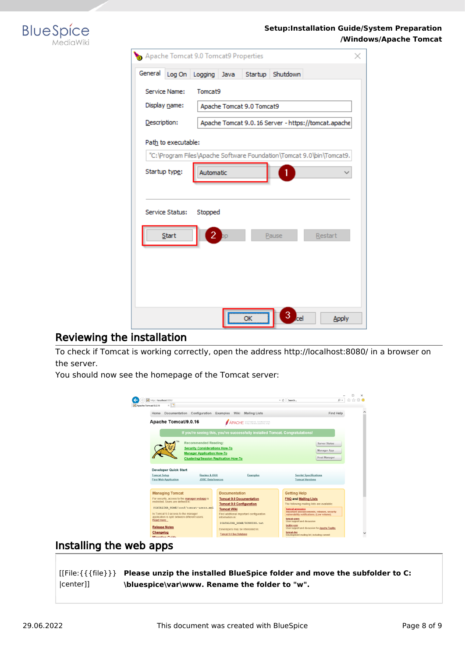![](_page_7_Picture_0.jpeg)

| Apache Tomcat 9.0 Tomcat9 Properties |                           |         |          |                                                                      |
|--------------------------------------|---------------------------|---------|----------|----------------------------------------------------------------------|
| General<br>Log On                    | Logging<br>Java           | Startup | Shutdown |                                                                      |
| Service Name:                        | Tomcat9                   |         |          |                                                                      |
| Display name:                        | Apache Tomcat 9.0 Tomcat9 |         |          |                                                                      |
| Description:                         |                           |         |          | Apache Tomcat 9.0.16 Server - https://tomcat.apache                  |
| Path to executable:                  |                           |         |          |                                                                      |
|                                      |                           |         |          | "C:\Program Files\Apache Software Foundation\Tomcat 9.0\bin\Tomcat9. |
| Startup type:                        | Automatic                 |         |          |                                                                      |
|                                      |                           |         |          |                                                                      |
| Service Status:                      | Stopped                   |         |          |                                                                      |
|                                      |                           |         |          |                                                                      |
| Start                                | 2                         |         | Pause    | Restart                                                              |
|                                      |                           |         |          |                                                                      |
|                                      |                           |         |          |                                                                      |
|                                      |                           |         |          |                                                                      |
|                                      |                           |         |          |                                                                      |
|                                      |                           | ОΚ      | ۳el      | <b>Apply</b>                                                         |

### <span id="page-7-0"></span>Reviewing the installation

To check if Tomcat is working correctly, open the address http://localhost:8080/ in a browser on the server.

You should now see the homepage of the Tomcat server:

![](_page_7_Picture_6.jpeg)

### <span id="page-7-1"></span>Installing the web apps

[[File:{{{file}}} **Please unzip the installed BlueSpice folder and move the subfolder to C:** |center]] **\bluespice\var\www. Rename the folder to "w".**